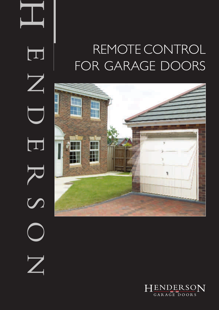# REMOTE CONTROL FOR GARAGE DOORS



ENDERS  $\overline{\mathsf{Z}}$  $\Box$ R<br>R<br>S  $\boldsymbol{Z}$ 

 $\blacksquare$ 

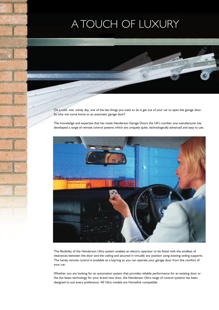### A TOUCH OF LUXURY

On a cold, wet, windy day, one of the last things you want to do is get out of your car to open the garage door. So why not come home to an automatic garage door?

The knowledge and expertise that has made Henderson Garage Doors the UK's number one manufacturer has developed a range of remote control systems which are uniquely quiet, technologically advanced and easy to use.



The flexibility of the Henderson Ultra system enables an electric operator to be fitted with the smallest of clearances between the door and the ceiling and secured in virtually any position using existing ceiling supports. The handy remote control is available as a keyring so you can operate your garage door from the comfort of your car.

Whether you are looking for an automation system that provides reliable performance for an existing door or the the latest technology for your brand new door, the Henderson Ultra range of control systems has been designed to suit every preference. All Ultra models are Homelink compatible.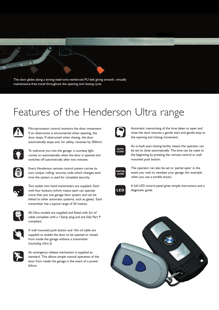The door glides along a strong steel-wire-reinforced PU belt giving smooth, virtually maintenance-free travel throughout the opening and closing cycle.

### Features of the Henderson Ultra range



Microprocessor control monitors the door movement. If an obstruction is encountered when opening, the door stops. If obstructed when closing, the door automatically stops and, for safety, reverses by 500mm.



To welcome you into the garage, a courtesy light comes on automatically when the door is opened and switches off automatically after two minutes.



Every Henderson remote control system carries its own unique 'rolling' security code which changes each time the system is used for complete security.



Two stylish mini hand transmitters are supplied. Each with four buttons (which means each can operate more than just one garage door system and can be linked to other automatic systems, such as gates). Each transmitter has a typical range of 50 metres.



All Ultra models are supplied and fitted with 5m of cable complete with a 13amp plug and are fully Part P compliant.



A wall mounted push button and 10m of cable are supplied to enable the door to be opened or closed from inside the garage without a transmitter. *(excluding Ultra S)*



An emergency release mechanism is supplied as standard. This allows simple manual operation of the door from inside the garage in the event of a power failure.



Automatic memorising of the time taken to open and close the door ensures a gentle start and gentle stop to the opening and closing movement.



An in-built auto closing facility means the operator can be set to close automatically. The time can be reset to the beginning by pressing the remote control or wall mounted push button.



The operator can also be set to 'partial open' in the event you wish to ventilate your garage (for example, when you use a tumble dryer).



A full LED control panel gives simple instructions and a diagnostic guide.

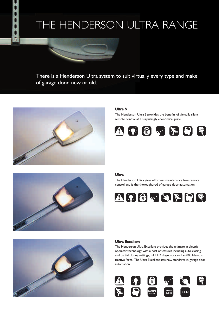### THE HENDERSON ULTRA RANGE



There is a Henderson Ultra system to suit virtually every type and make of garage door, new or old.



#### **Ultra S**

The Henderson Ultra S provides the benefits of virtually silent remote control at a surprisingly economical price.





#### **Ultra**

The Henderson Ultra gives effortless maintenance free remote control and is the thoroughbred of garage door automation.





#### **Ultra Excellent**

The Henderson Ultra Excellent provides the ultimate in electric operator technology with a host of features including auto-closing and partial closing settings, full LED diagnostics and an 800 Newton tractive force. The Ultra Excellent sets new standards in garage door automation.

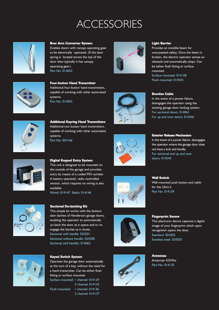### **ACCESSORIES**



#### **Bow Arm Converter System**

Enables doors with canopy operating gear to be electrically operated. (If the door spring is located across the top of the door then typically it has canopy operating gear.) Part No: 014655



**Four-button Hand Transmitter** Additional four-button hand transmitters, capable of working with other automated systems. Part No: 014055



**Additional Keyring Hand Transmitters** Additional two button hand transmitters, capable of working with other automated systems. Part No: 024166



#### **Digital Keypad Entry System**

This unit is designed to be mounted on the outside of the garage and provides entry by means of a coded PIN number. A battery operated, radio controlled version, which requires no wiring is also available.

Wired: 014147 Radio: 014146



#### **Sectional De-latching Kit**

This simple kit works with the bottom slam latches of Henderson garage doors, enabling the operator to automatically un-latch the door as it opens and to reengage the latches as it closes. Sectional with handle: 024201 Sectional without handle: 024200 Sectional (old handle): 014062



#### **Keyed Switch System**

Operates the garage door automatically at the turn of a key, without the need for a hand transmitter. Can be either flush fitting or surface mounted.

Surface mounted: 1 channel: 014134 2 channel: 014135 Flush mounted: 1 channel: 014136

2 channel: 014137



#### **Light Barrier**

Provides an invisible beam for unsurpassed safety. Once the beam is broken, the electric operator senses an obstacle and automatically stops. Can be either flush fitting or surface mounted. Surface mounted: 014138

Flush mounted: 014545

#### **Bowden Cable**

In the event of a power failure, disengages the operator using the existing garage door locking system. For sectional doors: 014061 For up and over doors: 014546



#### **Exterior Release Mechanism**

In the event of a power failure, disengages the operator where the garage door does not have a lock and handle. For sectional and up and over doors: 014544





### **Fingerprint Sensor**

This electronic device captures a digital image of your fingerprint which upon recognition opens the door. Standard: 024202 Stainless steel: 024203



**Antennae** Antennae 433Mhz Part No: 014132